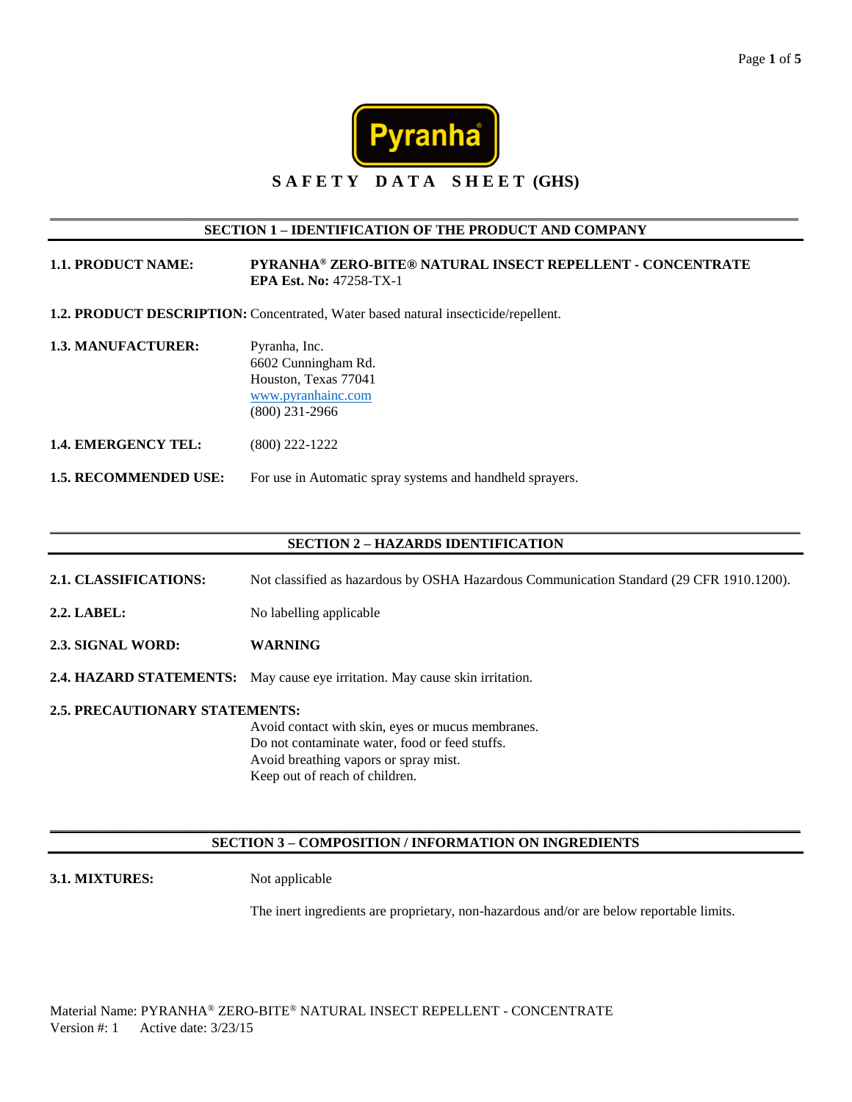

# **S A F E T Y D A T A S H E E T (GHS)**

\_\_\_\_\_\_\_\_\_\_\_\_\_\_\_\_\_\_\_\_\_\_\_\_\_\_\_\_\_\_\_\_\_\_\_\_\_\_\_\_\_\_\_\_\_\_\_\_\_\_\_\_\_\_\_\_\_\_\_\_\_\_\_\_\_\_\_\_\_\_\_\_\_\_\_\_\_\_\_\_\_\_\_\_\_\_\_\_\_\_\_\_\_\_\_\_\_\_\_\_\_\_\_\_\_\_\_\_\_\_\_\_\_\_\_\_\_\_

| <b>SECTION 1 - IDENTIFICATION OF THE PRODUCT AND COMPANY</b> |                                                                                                        |  |
|--------------------------------------------------------------|--------------------------------------------------------------------------------------------------------|--|
| <b>1.1. PRODUCT NAME:</b>                                    | PYRANHA® ZERO-BITE® NATURAL INSECT REPELLENT - CONCENTRATE<br><b>EPA Est. No: 47258-TX-1</b>           |  |
|                                                              | 1.2. PRODUCT DESCRIPTION: Concentrated, Water based natural insecticide/repellent.                     |  |
| <b>1.3. MANUFACTURER:</b>                                    | Pyranha, Inc.<br>6602 Cunningham Rd.<br>Houston, Texas 77041<br>www.pyranhainc.com<br>$(800)$ 231-2966 |  |
| 1.4. EMERGENCY TEL:                                          | $(800)$ 222-1222                                                                                       |  |
| <b>1.5. RECOMMENDED USE:</b>                                 | For use in Automatic spray systems and handheld sprayers.                                              |  |

## $\_$  ,  $\_$  ,  $\_$  ,  $\_$  ,  $\_$  ,  $\_$  ,  $\_$  ,  $\_$  ,  $\_$  ,  $\_$  ,  $\_$  ,  $\_$  ,  $\_$  ,  $\_$  ,  $\_$  ,  $\_$  ,  $\_$  ,  $\_$  ,  $\_$  ,  $\_$  ,  $\_$  ,  $\_$  ,  $\_$  ,  $\_$  ,  $\_$  ,  $\_$  ,  $\_$  ,  $\_$  ,  $\_$  ,  $\_$  ,  $\_$  ,  $\_$  ,  $\_$  ,  $\_$  ,  $\_$  ,  $\_$  ,  $\_$  , **SECTION 2 – HAZARDS IDENTIFICATION**

- **2.1. CLASSIFICATIONS:** Not classified as hazardous by OSHA Hazardous Communication Standard (29 CFR 1910.1200).
- **2.2. LABEL:** No labelling applicable
- **2.3. SIGNAL WORD: WARNING**
- **2.4. HAZARD STATEMENTS:** May cause eye irritation. May cause skin irritation.
- **2.5. PRECAUTIONARY STATEMENTS:**

Avoid contact with skin, eyes or mucus membranes. Do not contaminate water, food or feed stuffs. Avoid breathing vapors or spray mist. Keep out of reach of children.

### \_\_\_\_\_\_\_\_\_\_\_\_\_\_\_\_\_\_\_\_\_\_\_\_\_\_\_\_\_\_\_\_\_\_\_\_\_\_\_\_\_\_\_\_\_\_\_\_\_\_\_\_\_\_\_\_\_\_\_\_\_\_\_\_\_\_\_\_\_\_\_\_\_\_\_\_\_\_\_\_\_\_\_\_\_\_\_\_\_\_\_\_\_\_\_\_\_\_\_\_\_\_\_\_\_\_\_ **SECTION 3 – COMPOSITION / INFORMATION ON INGREDIENTS**

#### **3.1. MIXTURES:** Not applicable

The inert ingredients are proprietary, non-hazardous and/or are below reportable limits.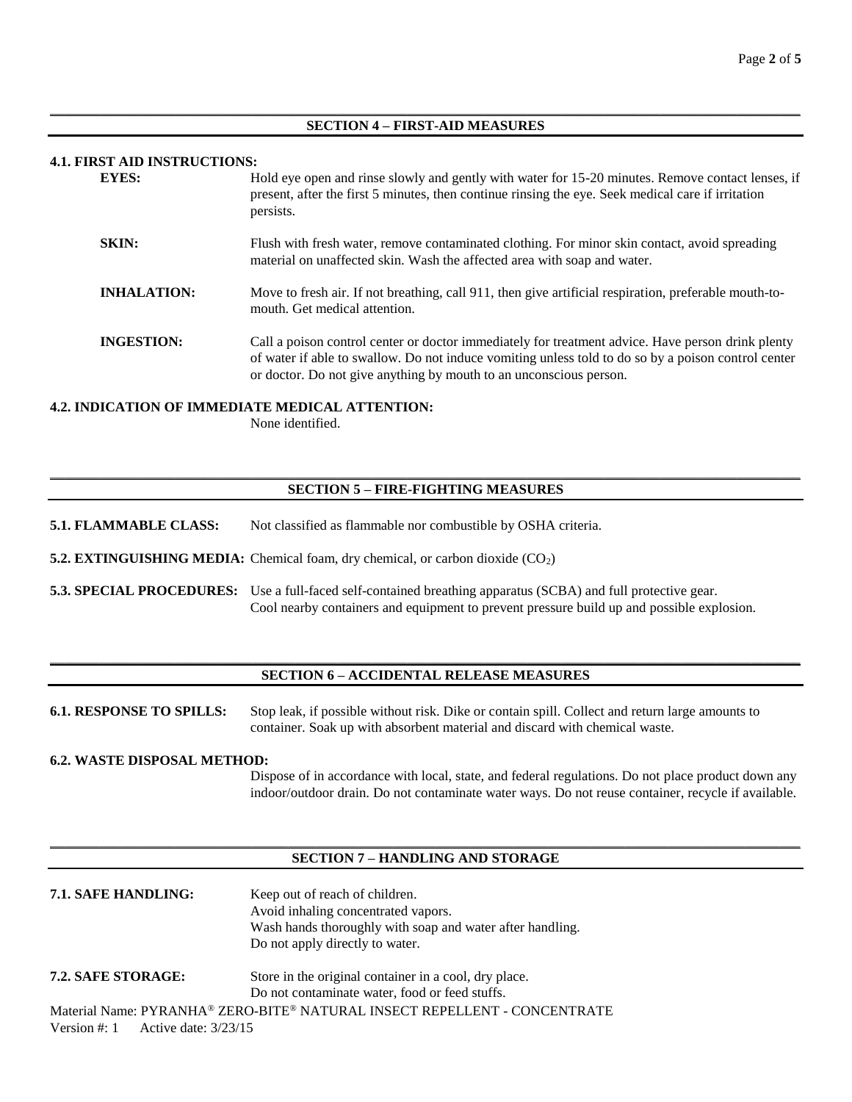#### $\_$  ,  $\_$  ,  $\_$  ,  $\_$  ,  $\_$  ,  $\_$  ,  $\_$  ,  $\_$  ,  $\_$  ,  $\_$  ,  $\_$  ,  $\_$  ,  $\_$  ,  $\_$  ,  $\_$  ,  $\_$  ,  $\_$  ,  $\_$  ,  $\_$  ,  $\_$  ,  $\_$  ,  $\_$  ,  $\_$  ,  $\_$  ,  $\_$  ,  $\_$  ,  $\_$  ,  $\_$  ,  $\_$  ,  $\_$  ,  $\_$  ,  $\_$  ,  $\_$  ,  $\_$  ,  $\_$  ,  $\_$  ,  $\_$  , **SECTION 4 – FIRST-AID MEASURES**

## **4.1. FIRST AID INSTRUCTIONS:**

| <b>EYES:</b>       | Hold eye open and rinse slowly and gently with water for 15-20 minutes. Remove contact lenses, if<br>present, after the first 5 minutes, then continue rinsing the eye. Seek medical care if irritation<br>persists.                                                           |
|--------------------|--------------------------------------------------------------------------------------------------------------------------------------------------------------------------------------------------------------------------------------------------------------------------------|
| <b>SKIN:</b>       | Flush with fresh water, remove contaminated clothing. For minor skin contact, avoid spreading<br>material on unaffected skin. Wash the affected area with soap and water.                                                                                                      |
| <b>INHALATION:</b> | Move to fresh air. If not breathing, call 911, then give artificial respiration, preferable mouth-to-<br>mouth. Get medical attention.                                                                                                                                         |
| <b>INGESTION:</b>  | Call a poison control center or doctor immediately for treatment advice. Have person drink plenty<br>of water if able to swallow. Do not induce vomiting unless told to do so by a poison control center<br>or doctor. Do not give anything by mouth to an unconscious person. |

# **4.2. INDICATION OF IMMEDIATE MEDICAL ATTENTION:**

None identified.

# $\_$  ,  $\_$  ,  $\_$  ,  $\_$  ,  $\_$  ,  $\_$  ,  $\_$  ,  $\_$  ,  $\_$  ,  $\_$  ,  $\_$  ,  $\_$  ,  $\_$  ,  $\_$  ,  $\_$  ,  $\_$  ,  $\_$  ,  $\_$  ,  $\_$  ,  $\_$  ,  $\_$  ,  $\_$  ,  $\_$  ,  $\_$  ,  $\_$  ,  $\_$  ,  $\_$  ,  $\_$  ,  $\_$  ,  $\_$  ,  $\_$  ,  $\_$  ,  $\_$  ,  $\_$  ,  $\_$  ,  $\_$  ,  $\_$  , **SECTION 5 – FIRE-FIGHTING MEASURES**

- **5.1. FLAMMABLE CLASS:** Not classified as flammable nor combustible by OSHA criteria.
- **5.2. EXTINGUISHING MEDIA:** Chemical foam, dry chemical, or carbon dioxide (CO<sub>2</sub>)
- **5.3. SPECIAL PROCEDURES:** Use a full-faced self-contained breathing apparatus (SCBA) and full protective gear. Cool nearby containers and equipment to prevent pressure build up and possible explosion.

### \_\_\_\_\_\_\_\_\_\_\_\_\_\_\_\_\_\_\_\_\_\_\_\_\_\_\_\_\_\_\_\_\_\_\_\_\_\_\_\_\_\_\_\_\_\_\_\_\_\_\_\_\_\_\_\_\_\_\_\_\_\_\_\_\_\_\_\_\_\_\_\_\_\_\_\_\_\_\_\_\_\_\_\_\_\_\_\_\_\_\_\_\_\_\_\_\_\_\_\_\_\_\_\_\_\_\_ **SECTION 6 – ACCIDENTAL RELEASE MEASURES**

**6.1. RESPONSE TO SPILLS:** Stop leak, if possible without risk. Dike or contain spill. Collect and return large amounts to container. Soak up with absorbent material and discard with chemical waste.

#### **6.2. WASTE DISPOSAL METHOD:**

Dispose of in accordance with local, state, and federal regulations. Do not place product down any indoor/outdoor drain. Do not contaminate water ways. Do not reuse container, recycle if available.

### $\_$  ,  $\_$  ,  $\_$  ,  $\_$  ,  $\_$  ,  $\_$  ,  $\_$  ,  $\_$  ,  $\_$  ,  $\_$  ,  $\_$  ,  $\_$  ,  $\_$  ,  $\_$  ,  $\_$  ,  $\_$  ,  $\_$  ,  $\_$  ,  $\_$  ,  $\_$  ,  $\_$  ,  $\_$  ,  $\_$  ,  $\_$  ,  $\_$  ,  $\_$  ,  $\_$  ,  $\_$  ,  $\_$  ,  $\_$  ,  $\_$  ,  $\_$  ,  $\_$  ,  $\_$  ,  $\_$  ,  $\_$  ,  $\_$  , **SECTION 7 – HANDLING AND STORAGE**

| 7.1. SAFE HANDLING:                 | Keep out of reach of children.                                            |  |
|-------------------------------------|---------------------------------------------------------------------------|--|
|                                     | Avoid inhaling concentrated vapors.                                       |  |
|                                     | Wash hands thoroughly with soap and water after handling.                 |  |
|                                     | Do not apply directly to water.                                           |  |
| 7.2. SAFE STORAGE:                  | Store in the original container in a cool, dry place.                     |  |
|                                     | Do not contaminate water, food or feed stuffs.                            |  |
|                                     | Material Name: PYRANHA® ZERO-BITE® NATURAL INSECT REPELLENT - CONCENTRATE |  |
| Version #: 1 Active date: $3/23/15$ |                                                                           |  |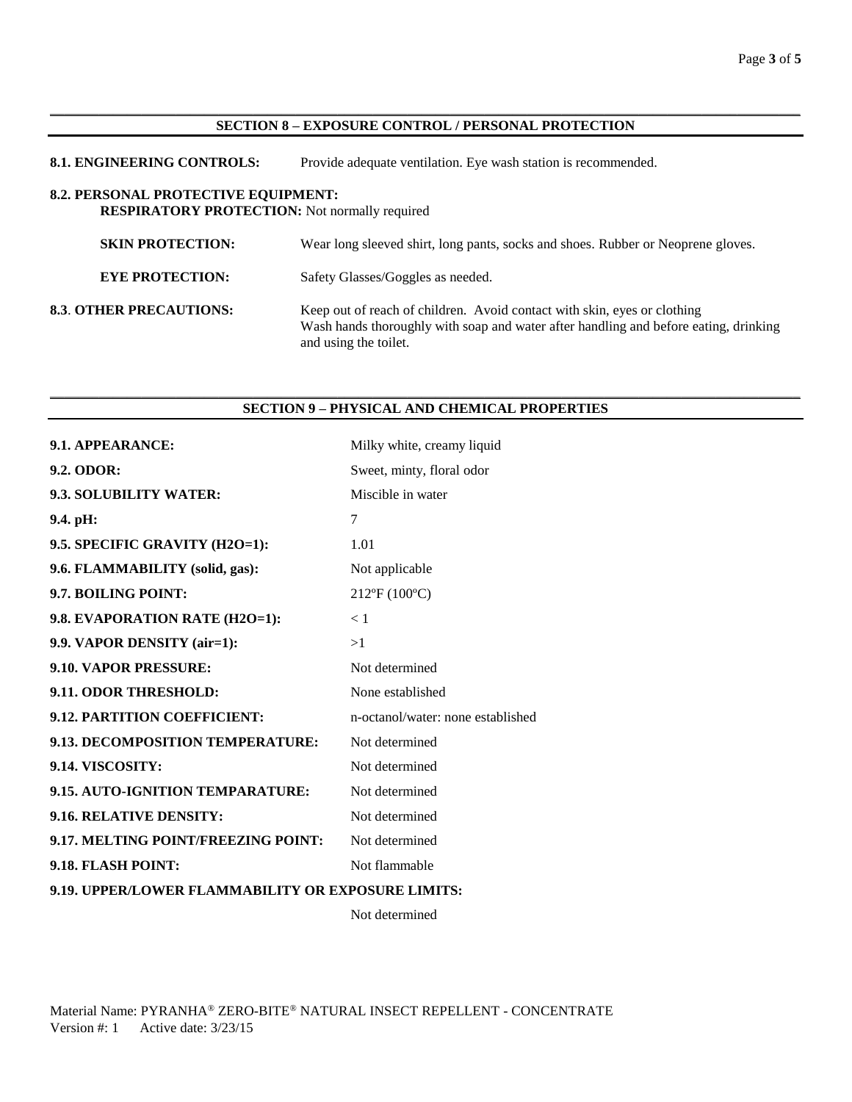### $\_$  ,  $\_$  ,  $\_$  ,  $\_$  ,  $\_$  ,  $\_$  ,  $\_$  ,  $\_$  ,  $\_$  ,  $\_$  ,  $\_$  ,  $\_$  ,  $\_$  ,  $\_$  ,  $\_$  ,  $\_$  ,  $\_$  ,  $\_$  ,  $\_$  ,  $\_$  ,  $\_$  ,  $\_$  ,  $\_$  ,  $\_$  ,  $\_$  ,  $\_$  ,  $\_$  ,  $\_$  ,  $\_$  ,  $\_$  ,  $\_$  ,  $\_$  ,  $\_$  ,  $\_$  ,  $\_$  ,  $\_$  ,  $\_$  , **SECTION 8 – EXPOSURE CONTROL / PERSONAL PROTECTION**

| <b>8.1. ENGINEERING CONTROLS:</b>                                                                  | Provide adequate ventilation. Eye wash station is recommended.                                                                                                                            |
|----------------------------------------------------------------------------------------------------|-------------------------------------------------------------------------------------------------------------------------------------------------------------------------------------------|
| <b>8.2. PERSONAL PROTECTIVE EQUIPMENT:</b><br><b>RESPIRATORY PROTECTION:</b> Not normally required |                                                                                                                                                                                           |
| <b>SKIN PROTECTION:</b>                                                                            | Wear long sleeved shirt, long pants, socks and shoes. Rubber or Neoprene gloves.                                                                                                          |
| <b>EYE PROTECTION:</b>                                                                             | Safety Glasses/Goggles as needed.                                                                                                                                                         |
| <b>8.3. OTHER PRECAUTIONS:</b>                                                                     | Keep out of reach of children. Avoid contact with skin, eyes or clothing<br>Wash hands thoroughly with soap and water after handling and before eating, drinking<br>and using the toilet. |

### \_\_\_\_\_\_\_\_\_\_\_\_\_\_\_\_\_\_\_\_\_\_\_\_\_\_\_\_\_\_\_\_\_\_\_\_\_\_\_\_\_\_\_\_\_\_\_\_\_\_\_\_\_\_\_\_\_\_\_\_\_\_\_\_\_\_\_\_\_\_\_\_\_\_\_\_\_\_\_\_\_\_\_\_\_\_\_\_\_\_\_\_\_\_\_\_\_\_\_\_\_\_\_\_\_\_\_ **SECTION 9 – PHYSICAL AND CHEMICAL PROPERTIES**

| 9.1. APPEARANCE:                                   | Milky white, creamy liquid        |
|----------------------------------------------------|-----------------------------------|
| 9.2. ODOR:                                         | Sweet, minty, floral odor         |
| 9.3. SOLUBILITY WATER:                             | Miscible in water                 |
| $9.4.$ pH:                                         | 7                                 |
| 9.5. SPECIFIC GRAVITY (H2O=1):                     | 1.01                              |
| 9.6. FLAMMABILITY (solid, gas):                    | Not applicable                    |
| 9.7. BOILING POINT:                                | 212°F (100°C)                     |
| 9.8. EVAPORATION RATE (H2O=1):                     | < 1                               |
| 9.9. VAPOR DENSITY (air=1):                        | >1                                |
| 9.10. VAPOR PRESSURE:                              | Not determined                    |
| 9.11. ODOR THRESHOLD:                              | None established                  |
| 9.12. PARTITION COEFFICIENT:                       | n-octanol/water: none established |
| 9.13. DECOMPOSITION TEMPERATURE:                   | Not determined                    |
| 9.14. VISCOSITY:                                   | Not determined                    |
| 9.15. AUTO-IGNITION TEMPARATURE:                   | Not determined                    |
| 9.16. RELATIVE DENSITY:                            | Not determined                    |
| 9.17. MELTING POINT/FREEZING POINT:                | Not determined                    |
| 9.18. FLASH POINT:                                 | Not flammable                     |
| 9.19. UPPER/LOWER FLAMMABILITY OR EXPOSURE LIMITS: |                                   |

Not determined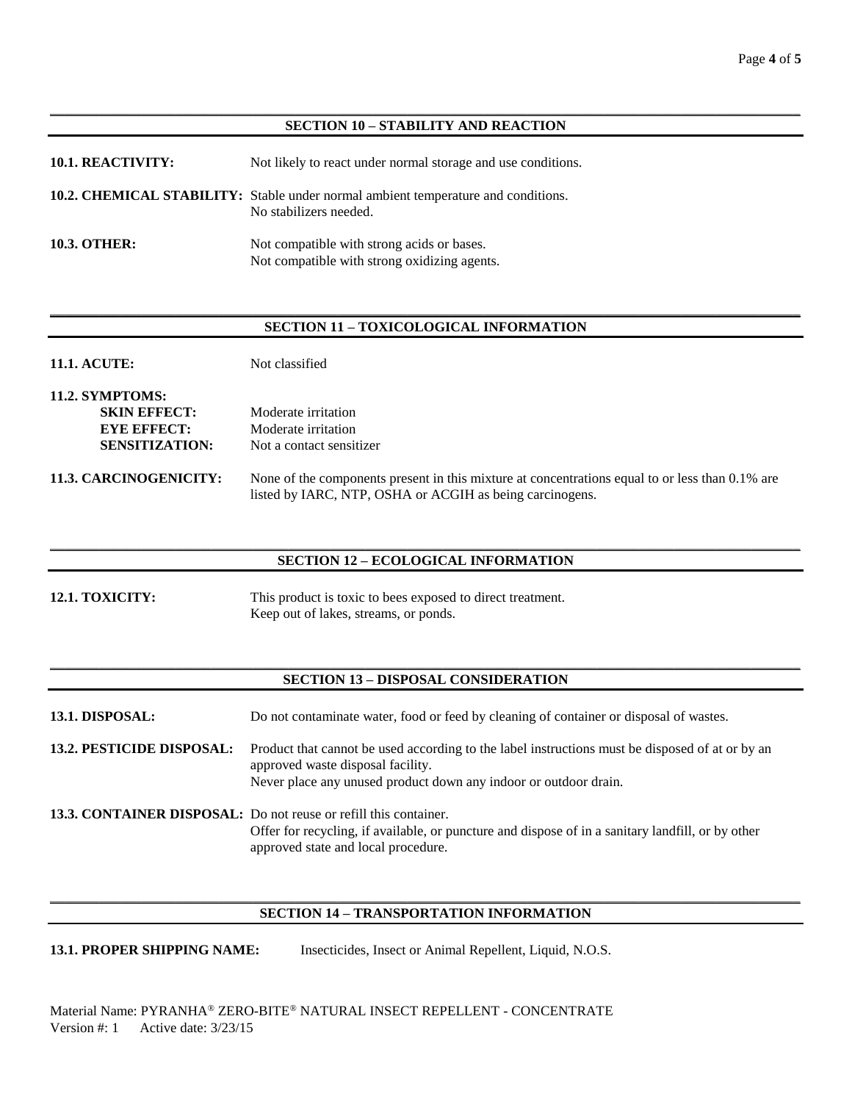### $\_$  ,  $\_$  ,  $\_$  ,  $\_$  ,  $\_$  ,  $\_$  ,  $\_$  ,  $\_$  ,  $\_$  ,  $\_$  ,  $\_$  ,  $\_$  ,  $\_$  ,  $\_$  ,  $\_$  ,  $\_$  ,  $\_$  ,  $\_$  ,  $\_$  ,  $\_$  ,  $\_$  ,  $\_$  ,  $\_$  ,  $\_$  ,  $\_$  ,  $\_$  ,  $\_$  ,  $\_$  ,  $\_$  ,  $\_$  ,  $\_$  ,  $\_$  ,  $\_$  ,  $\_$  ,  $\_$  ,  $\_$  ,  $\_$  , **SECTION 10 – STABILITY AND REACTION**

| <b>10.1. REACTIVITY:</b> | Not likely to react under normal storage and use conditions.                                                       |
|--------------------------|--------------------------------------------------------------------------------------------------------------------|
|                          | <b>10.2. CHEMICAL STABILITY:</b> Stable under normal ambient temperature and conditions.<br>No stabilizers needed. |
| <b>10.3. OTHER:</b>      | Not compatible with strong acids or bases.<br>Not compatible with strong oxidizing agents.                         |

### \_\_\_\_\_\_\_\_\_\_\_\_\_\_\_\_\_\_\_\_\_\_\_\_\_\_\_\_\_\_\_\_\_\_\_\_\_\_\_\_\_\_\_\_\_\_\_\_\_\_\_\_\_\_\_\_\_\_\_\_\_\_\_\_\_\_\_\_\_\_\_\_\_\_\_\_\_\_\_\_\_\_\_\_\_\_\_\_\_\_\_\_\_\_\_\_\_\_\_\_\_\_\_\_\_\_\_ **SECTION 11 – TOXICOLOGICAL INFORMATION**

- **11.1. ACUTE:** Not classified
- **11.2. SYMPTOMS: SKIN EFFECT:** Moderate irritation **EYE EFFECT:** Moderate irritation **SENSITIZATION:** Not a contact sensitizer
- **11.3. CARCINOGENICITY:** None of the components present in this mixture at concentrations equal to or less than 0.1% are listed by IARC, NTP, OSHA or ACGIH as being carcinogens.

#### \_\_\_\_\_\_\_\_\_\_\_\_\_\_\_\_\_\_\_\_\_\_\_\_\_\_\_\_\_\_\_\_\_\_\_\_\_\_\_\_\_\_\_\_\_\_\_\_\_\_\_\_\_\_\_\_\_\_\_\_\_\_\_\_\_\_\_\_\_\_\_\_\_\_\_\_\_\_\_\_\_\_\_\_\_\_\_\_\_\_\_\_\_\_\_\_\_\_\_\_\_\_\_\_\_\_\_ **SECTION 12 – ECOLOGICAL INFORMATION**

**12.1. TOXICITY:** This product is toxic to bees exposed to direct treatment. Keep out of lakes, streams, or ponds.

### \_\_\_\_\_\_\_\_\_\_\_\_\_\_\_\_\_\_\_\_\_\_\_\_\_\_\_\_\_\_\_\_\_\_\_\_\_\_\_\_\_\_\_\_\_\_\_\_\_\_\_\_\_\_\_\_\_\_\_\_\_\_\_\_\_\_\_\_\_\_\_\_\_\_\_\_\_\_\_\_\_\_\_\_\_\_\_\_\_\_\_\_\_\_\_\_\_\_\_\_\_\_\_\_\_\_\_ **SECTION 13 – DISPOSAL CONSIDERATION**

**13.1. DISPOSAL:** Do not contaminate water, food or feed by cleaning of container or disposal of wastes.

**13.2. PESTICIDE DISPOSAL:** Product that cannot be used according to the label instructions must be disposed of at or by an approved waste disposal facility. Never place any unused product down any indoor or outdoor drain.

**13.3. CONTAINER DISPOSAL:** Do not reuse or refill this container. Offer for recycling, if available, or puncture and dispose of in a sanitary landfill, or by other approved state and local procedure.

# \_\_\_\_\_\_\_\_\_\_\_\_\_\_\_\_\_\_\_\_\_\_\_\_\_\_\_\_\_\_\_\_\_\_\_\_\_\_\_\_\_\_\_\_\_\_\_\_\_\_\_\_\_\_\_\_\_\_\_\_\_\_\_\_\_\_\_\_\_\_\_\_\_\_\_\_\_\_\_\_\_\_\_\_\_\_\_\_\_\_\_\_\_\_\_\_\_\_\_\_\_\_\_\_\_\_\_ **SECTION 14 – TRANSPORTATION INFORMATION**

**13.1. PROPER SHIPPING NAME:** Insecticides, Insect or Animal Repellent, Liquid, N.O.S.

Material Name: PYRANHA® ZERO-BITE® NATURAL INSECT REPELLENT - CONCENTRATE Version #: 1 Active date: 3/23/15